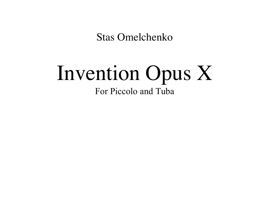**Stas Omelchenko** 

## Invention Opus X For Piccolo and Tuba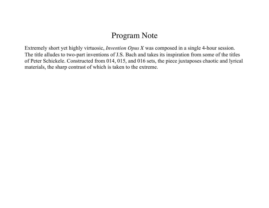## Program Note

Extremely short yet highly virtuosic, *Invention Opus X* was composed in a single 4-hour session. The title alludes to two-part inventions of J.S. Bach and takes its inspiration from some of the titles of Peter Schickele. Constructed from 014, 015, and 016 sets, the piece juxtaposes chaotic and lyrical materials, the sharp contrast of which is taken to the extreme.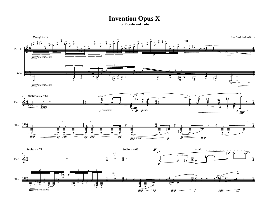## **Invention Opus X**

**for Piccolo and Tuba**